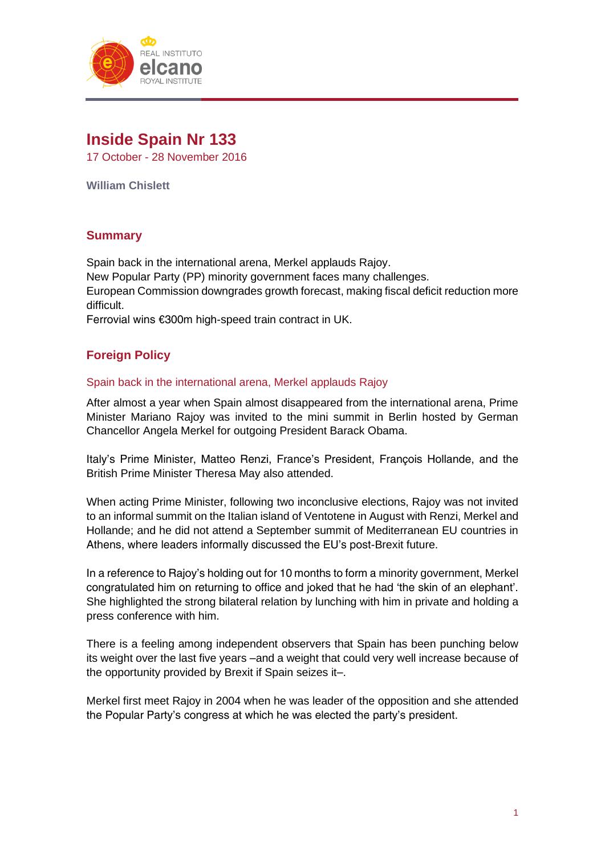

# **Inside Spain Nr 133**

17 October - 28 November 2016

**William Chislett**

# **Summary**

Spain back in the international arena, Merkel applauds Rajoy. New Popular Party (PP) minority government faces many challenges. European Commission downgrades growth forecast, making fiscal deficit reduction more difficult.

Ferrovial wins €300m high-speed train contract in UK.

# **Foreign Policy**

# Spain back in the international arena, Merkel applauds Rajoy

After almost a year when Spain almost disappeared from the international arena, Prime Minister Mariano Rajoy was invited to the mini summit in Berlin hosted by German Chancellor Angela Merkel for outgoing President Barack Obama.

Italy's Prime Minister, Matteo Renzi, France's President, François Hollande, and the British Prime Minister Theresa May also attended.

When acting Prime Minister, following two inconclusive elections, Rajoy was not invited to an informal summit on the Italian island of Ventotene in August with Renzi, Merkel and Hollande; and he did not attend a September summit of Mediterranean EU countries in Athens, where leaders informally discussed the EU's post-Brexit future.

In a reference to Rajoy's holding out for 10 months to form a minority government, Merkel congratulated him on returning to office and joked that he had 'the skin of an elephant'. She highlighted the strong bilateral relation by lunching with him in private and holding a press conference with him.

There is a feeling among independent observers that Spain has been punching below its weight over the last five years –and a weight that could very well increase because of the opportunity provided by Brexit if Spain seizes it–.

Merkel first meet Rajoy in 2004 when he was leader of the opposition and she attended the Popular Party's congress at which he was elected the party's president.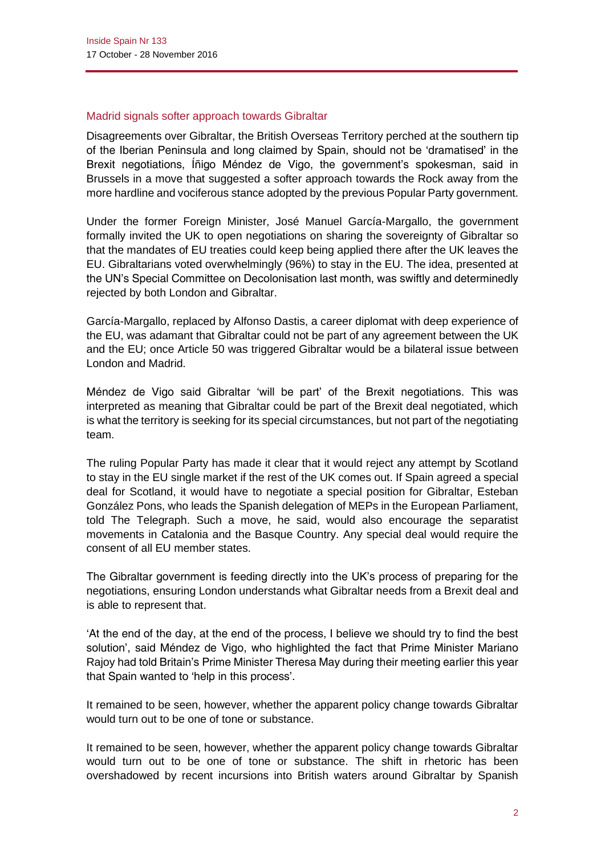## Madrid signals softer approach towards Gibraltar

Disagreements over Gibraltar, the British Overseas Territory perched at the southern tip of the Iberian Peninsula and long claimed by Spain, should not be 'dramatised' in the Brexit negotiations, Íñigo Méndez de Vigo, the government's spokesman, said in Brussels in a move that suggested a softer approach towards the Rock away from the more hardline and vociferous stance adopted by the previous Popular Party government.

Under the former Foreign Minister, José Manuel García-Margallo, the government formally invited the UK to open negotiations on sharing the sovereignty of Gibraltar so that the mandates of EU treaties could keep being applied there after the UK leaves the EU. Gibraltarians voted overwhelmingly (96%) to stay in the EU. The idea, presented at the UN's Special Committee on Decolonisation last month, was swiftly and determinedly rejected by both London and Gibraltar.

García-Margallo, replaced by Alfonso Dastis, a career diplomat with deep experience of the EU, was adamant that Gibraltar could not be part of any agreement between the UK and the EU; once Article 50 was triggered Gibraltar would be a bilateral issue between London and Madrid.

Méndez de Vigo said Gibraltar 'will be part' of the Brexit negotiations. This was interpreted as meaning that Gibraltar could be part of the Brexit deal negotiated, which is what the territory is seeking for its special circumstances, but not part of the negotiating team.

The ruling Popular Party has made it clear that it would reject any attempt by Scotland to stay in the EU single market if the rest of the UK comes out. If Spain agreed a special deal for Scotland, it would have to negotiate a special position for Gibraltar, Esteban González Pons, who leads the Spanish delegation of MEPs in the European Parliament, told *The Telegraph*. Such a move, he said, would also encourage the separatist movements in Catalonia and the Basque Country. Any special deal would require the consent of all EU member states.

The Gibraltar government is feeding directly into the UK's process of preparing for the negotiations, ensuring London understands what Gibraltar needs from a Brexit deal and is able to represent that.

'At the end of the day, at the end of the process, I believe we should try to find the best solution', said Méndez de Vigo, who highlighted the fact that Prime Minister Mariano Rajoy had told Britain's Prime Minister Theresa May during their meeting earlier this year that Spain wanted to 'help in this process'.

It remained to be seen, however, whether the apparent policy change towards Gibraltar would turn out to be one of tone or substance.

It remained to be seen, however, whether the apparent policy change towards Gibraltar would turn out to be one of tone or substance. The shift in rhetoric has been overshadowed by recent incursions into British waters around Gibraltar by Spanish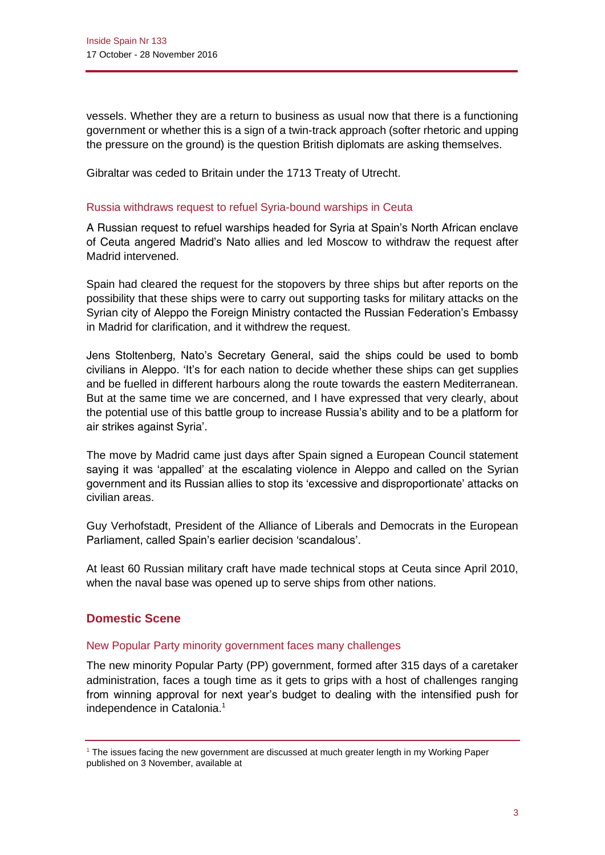vessels. Whether they are a return to business as usual now that there is a functioning government or whether this is a sign of a twin-track approach (softer rhetoric and upping the pressure on the ground) is the question British diplomats are asking themselves.

Gibraltar was ceded to Britain under the 1713 Treaty of Utrecht.

#### Russia withdraws request to refuel Syria-bound warships in Ceuta

A Russian request to refuel warships headed for Syria at Spain's North African enclave of Ceuta angered Madrid's Nato allies and led Moscow to withdraw the request after Madrid intervened.

Spain had cleared the request for the stopovers by three ships but after reports on the possibility that these ships were to carry out supporting tasks for military attacks on the Syrian city of Aleppo the Foreign Ministry contacted the Russian Federation's Embassy in Madrid for clarification, and it withdrew the request.

Jens Stoltenberg, Nato's Secretary General, said the ships could be used to bomb civilians in Aleppo. 'It's for each nation to decide whether these ships can get supplies and be fuelled in different harbours along the route towards the eastern Mediterranean. But at the same time we are concerned, and I have expressed that very clearly, about the potential use of this battle group to increase Russia's ability and to be a platform for air strikes against Syria'.

The move by Madrid came just days after Spain signed a European Council statement saying it was 'appalled' at the escalating violence in Aleppo and called on the Syrian government and its Russian allies to stop its 'excessive and disproportionate' attacks on civilian areas.

Guy Verhofstadt, President of the Alliance of Liberals and Democrats in the European Parliament, called Spain's earlier decision 'scandalous'.

At least 60 Russian military craft have made technical stops at Ceuta since April 2010, when the naval base was opened up to serve ships from other nations.

## **Domestic Scene**

#### New Popular Party minority government faces many challenges

The new minority Popular Party (PP) government, formed after 315 days of a caretaker administration, faces a tough time as it gets to grips with a host of challenges ranging from winning approval for next year's budget to dealing with the intensified push for independence in Catalonia.<sup>1</sup>

<sup>&</sup>lt;sup>1</sup> The issues facing the new government are discussed at much greater length in my Working Paper published on 3 November, available at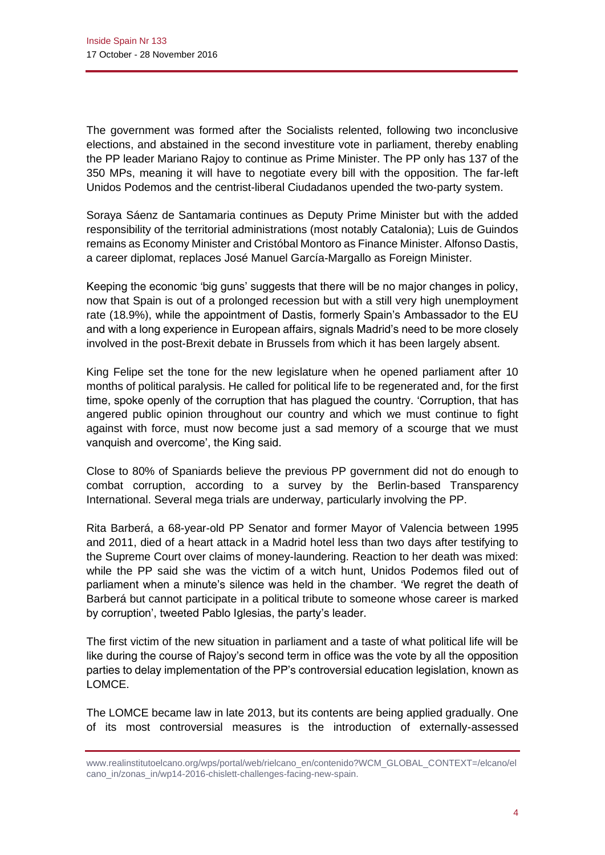The government was formed after the Socialists relented, following two inconclusive elections, and abstained in the second investiture vote in parliament, thereby enabling the PP leader Mariano Rajoy to continue as Prime Minister. The PP only has 137 of the 350 MPs, meaning it will have to negotiate every bill with the opposition. The far-left Unidos Podemos and the centrist-liberal Ciudadanos upended the two-party system.

Soraya Sáenz de Santamaria continues as Deputy Prime Minister but with the added responsibility of the territorial administrations (most notably Catalonia); Luis de Guindos remains as Economy Minister and Cristóbal Montoro as Finance Minister. Alfonso Dastis, a career diplomat, replaces José Manuel García-Margallo as Foreign Minister.

Keeping the economic 'big guns' suggests that there will be no major changes in policy, now that Spain is out of a prolonged recession but with a still very high unemployment rate (18.9%), while the appointment of Dastis, formerly Spain's Ambassador to the EU and with a long experience in European affairs, signals Madrid's need to be more closely involved in the post-Brexit debate in Brussels from which it has been largely absent.

King Felipe set the tone for the new legislature when he opened parliament after 10 months of political paralysis. He called for political life to be regenerated and, for the first time, spoke openly of the corruption that has plagued the country. 'Corruption, that has angered public opinion throughout our country and which we must continue to fight against with force, must now become just a sad memory of a scourge that we must vanquish and overcome', the King said.

Close to 80% of Spaniards believe the previous PP government did not do enough to combat corruption, according to a survey by the Berlin-based Transparency International. Several mega trials are underway, particularly involving the PP.

Rita Barberá, a 68-year-old PP Senator and former Mayor of Valencia between 1995 and 2011, died of a heart attack in a Madrid hotel less than two days after testifying to the Supreme Court over claims of money-laundering. Reaction to her death was mixed: while the PP said she was the victim of a witch hunt, Unidos Podemos filed out of parliament when a minute's silence was held in the chamber. 'We regret the death of Barberá but cannot participate in a political tribute to someone whose career is marked by corruption', tweeted Pablo Iglesias, the party's leader.

The first victim of the new situation in parliament and a taste of what political life will be like during the course of Rajoy's second term in office was the vote by all the opposition parties to delay implementation of the PP's controversial education legislation, known as LOMCE.

The LOMCE became law in late 2013, but its contents are being applied gradually. One of its most controversial measures is the introduction of externally-assessed

[www.realinstitutoelcano.org/wps/portal/web/rielcano\\_en/contenido?WCM\\_GLOBAL\\_CONTEXT=/elcano/el](http://www.realinstitutoelcano.org/wps/portal/web/rielcano_en/contenido?WCM_GLOBAL_CONTEXT=/elcano/elcano_in/zonas_in/wp14-2016-chislett-challenges-facing-new-spain) [cano\\_in/zonas\\_in/wp14-2016-chislett-challenges-facing-new-spain.](http://www.realinstitutoelcano.org/wps/portal/web/rielcano_en/contenido?WCM_GLOBAL_CONTEXT=/elcano/elcano_in/zonas_in/wp14-2016-chislett-challenges-facing-new-spain)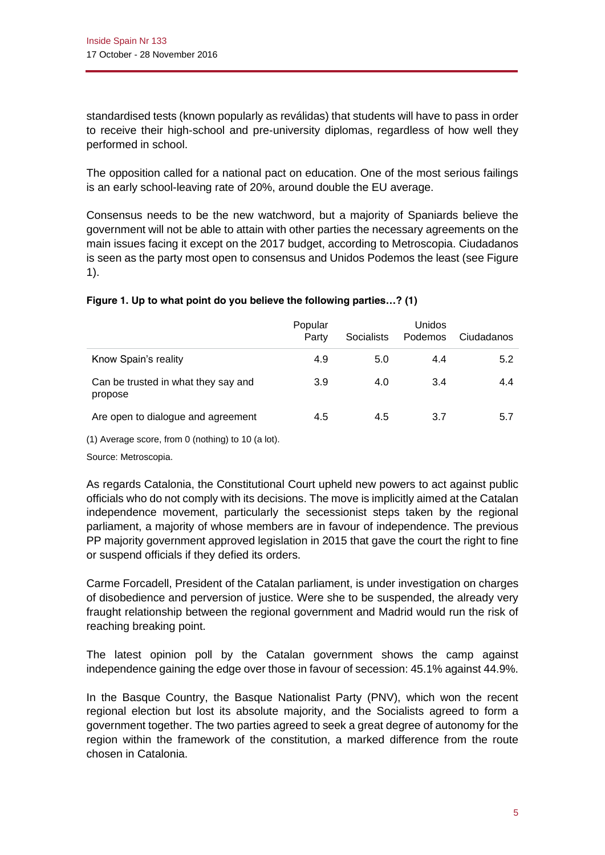standardised tests (known popularly as *reválidas*) that students will have to pass in order to receive their high-school and pre-university diplomas, regardless of how well they performed in school.

The opposition called for a national pact on education. One of the most serious failings is an early school-leaving rate of 20%, around double the EU average.

Consensus needs to be the new watchword, but a majority of Spaniards believe the government will not be able to attain with other parties the necessary agreements on the main issues facing it except on the 2017 budget, according to Metroscopia. Ciudadanos is seen as the party most open to consensus and Unidos Podemos the least (see Figure 1).

|                                                | Popular<br>Party | Socialists | <b>Unidos</b><br>Podemos | Ciudadanos |
|------------------------------------------------|------------------|------------|--------------------------|------------|
| Know Spain's reality                           | 4.9              | 5.0        | 4.4                      | 5.2        |
| Can be trusted in what they say and<br>propose | 3.9              | 4.0        | 3.4                      | 4.4        |
| Are open to dialogue and agreement             | 4.5              | 4.5        | 3.7                      | 5.7        |

## **Figure 1. Up to what point do you believe the following parties…? (1)**

(1) Average score, from 0 (nothing) to 10 (a lot).

Source: Metroscopia.

As regards Catalonia, the Constitutional Court upheld new powers to act against public officials who do not comply with its decisions. The move is implicitly aimed at the Catalan independence movement, particularly the secessionist steps taken by the regional parliament, a majority of whose members are in favour of independence. The previous PP majority government approved legislation in 2015 that gave the court the right to fine or suspend officials if they defied its orders.

Carme Forcadell, President of the Catalan parliament, is under investigation on charges of disobedience and perversion of justice. Were she to be suspended, the already very fraught relationship between the regional government and Madrid would run the risk of reaching breaking point.

The latest opinion poll by the Catalan government shows the camp against independence gaining the edge over those in favour of secession: 45.1% against 44.9%.

In the Basque Country, the Basque Nationalist Party (PNV), which won the recent regional election but lost its absolute majority, and the Socialists agreed to form a government together. The two parties agreed to seek a great degree of autonomy for the region within the framework of the constitution, a marked difference from the route chosen in Catalonia.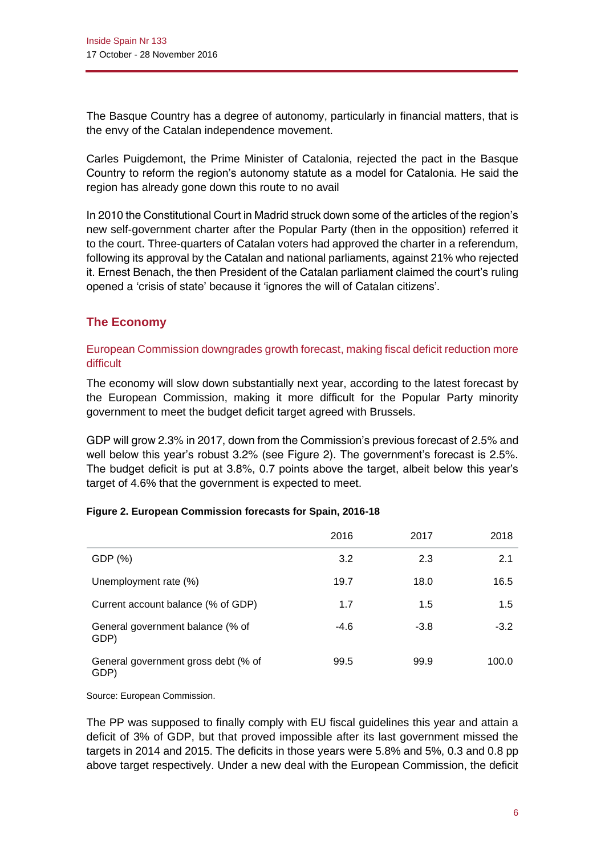The Basque Country has a degree of autonomy, particularly in financial matters, that is the envy of the Catalan independence movement.

Carles Puigdemont, the Prime Minister of Catalonia, rejected the pact in the Basque Country to reform the region's autonomy statute as a model for Catalonia. He said the region has already gone down this route to no avail

In 2010 the Constitutional Court in Madrid struck down some of the articles of the region's new self-government charter after the Popular Party (then in the opposition) referred it to the court. Three-quarters of Catalan voters had approved the charter in a referendum, following its approval by the Catalan and national parliaments, against 21% who rejected it. Ernest Benach, the then President of the Catalan parliament claimed the court's ruling opened a 'crisis of state' because it 'ignores the will of Catalan citizens'.

# **The Economy**

# European Commission downgrades growth forecast, making fiscal deficit reduction more difficult

The economy will slow down substantially next year, according to the latest forecast by the European Commission, making it more difficult for the Popular Party minority government to meet the budget deficit target agreed with Brussels.

GDP will grow 2.3% in 2017, down from the Commission's previous forecast of 2.5% and well below this year's robust 3.2% (see Figure 2). The government's forecast is 2.5%. The budget deficit is put at 3.8%, 0.7 points above the target, albeit below this year's target of 4.6% that the government is expected to meet.

#### **Figure 2. European Commission forecasts for Spain, 2016-18**

|                                             | 2016   | 2017   | 2018   |
|---------------------------------------------|--------|--------|--------|
| GDP (%)                                     | 3.2    | 2.3    | 2.1    |
| Unemployment rate (%)                       | 19.7   | 18.0   | 16.5   |
| Current account balance (% of GDP)          | 1.7    | 1.5    | 1.5    |
| General government balance (% of<br>GDP)    | $-4.6$ | $-3.8$ | $-3.2$ |
| General government gross debt (% of<br>GDP) | 99.5   | 99.9   | 100.0  |

Source: European Commission.

The PP was supposed to finally comply with EU fiscal guidelines this year and attain a deficit of 3% of GDP, but that proved impossible after its last government missed the targets in 2014 and 2015. The deficits in those years were 5.8% and 5%, 0.3 and 0.8 pp above target respectively. Under a new deal with the European Commission, the deficit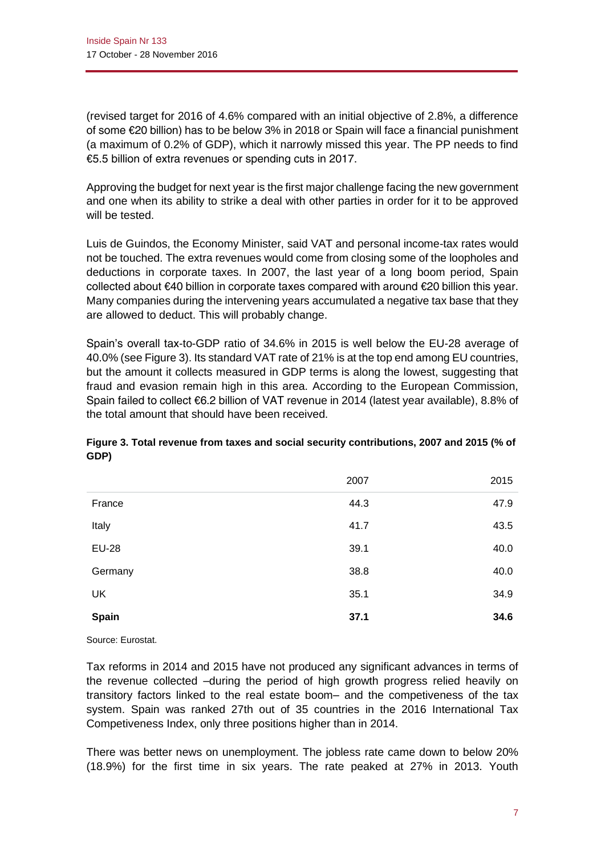(revised target for 2016 of 4.6% compared with an initial objective of 2.8%, a difference of some €20 billion) has to be below 3% in 2018 or Spain will face a financial punishment (a maximum of 0.2% of GDP), which it narrowly missed this year. The PP needs to find €5.5 billion of extra revenues or spending cuts in 2017.

Approving the budget for next year is the first major challenge facing the new government and one when its ability to strike a deal with other parties in order for it to be approved will be tested.

Luis de Guindos, the Economy Minister, said VAT and personal income-tax rates would not be touched. The extra revenues would come from closing some of the loopholes and deductions in corporate taxes. In 2007, the last year of a long boom period, Spain collected about €40 billion in corporate taxes compared with around €20 billion this year. Many companies during the intervening years accumulated a negative tax base that they are allowed to deduct. This will probably change.

Spain's overall tax-to-GDP ratio of 34.6% in 2015 is well below the EU-28 average of 40.0% (see Figure 3). Its standard VAT rate of 21% is at the top end among EU countries, but the amount it collects measured in GDP terms is along the lowest, suggesting that fraud and evasion remain high in this area. According to the European Commission, Spain failed to collect €6.2 billion of VAT revenue in 2014 (latest year available), 8.8% of the total amount that should have been received.

|              | 2007 | 2015 |
|--------------|------|------|
| France       | 44.3 | 47.9 |
| Italy        | 41.7 | 43.5 |
| <b>EU-28</b> | 39.1 | 40.0 |
| Germany      | 38.8 | 40.0 |
| <b>UK</b>    | 35.1 | 34.9 |
| Spain        | 37.1 | 34.6 |

## **Figure 3. Total revenue from taxes and social security contributions, 2007 and 2015 (% of GDP)**

Source: Eurostat.

Tax reforms in 2014 and 2015 have not produced any significant advances in terms of the revenue collected –during the period of high growth progress relied heavily on transitory factors linked to the real estate boom– and the competiveness of the tax system. Spain was ranked 27th out of 35 countries in the 2016 International Tax Competiveness Index, only three positions higher than in 2014.

There was better news on unemployment. The jobless rate came down to below 20% (18.9%) for the first time in six years. The rate peaked at 27% in 2013. Youth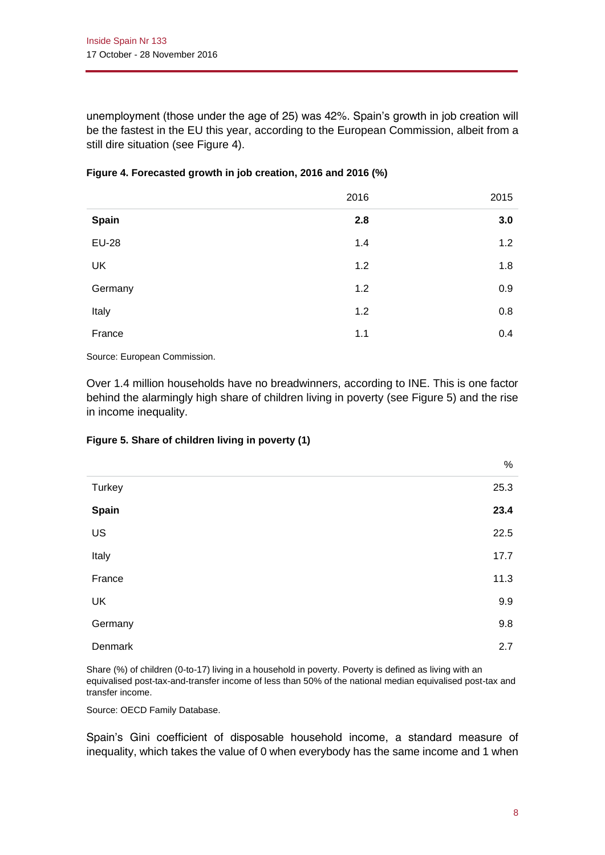unemployment (those under the age of 25) was 42%. Spain's growth in job creation will be the fastest in the EU this year, according to the European Commission, albeit from a still dire situation (see Figure 4).

|              | 2016 | 2015 |
|--------------|------|------|
| <b>Spain</b> | 2.8  | 3.0  |
| <b>EU-28</b> | 1.4  | 1.2  |
| <b>UK</b>    | 1.2  | 1.8  |
| Germany      | 1.2  | 0.9  |
| Italy        | 1.2  | 0.8  |
| France       | 1.1  | 0.4  |

| Figure 4. Forecasted growth in job creation, 2016 and 2016 (%) |  |  |  |  |
|----------------------------------------------------------------|--|--|--|--|
|----------------------------------------------------------------|--|--|--|--|

Source: European Commission.

Over 1.4 million households have no breadwinners, according to INE. This is one factor behind the alarmingly high share of children living in poverty (see Figure 5) and the rise in income inequality.

## **Figure 5. Share of children living in poverty (1)**

|               | %    |
|---------------|------|
| <b>Turkey</b> | 25.3 |
| Spain         | 23.4 |
| US            | 22.5 |
| Italy         | 17.7 |
| France        | 11.3 |
| <b>UK</b>     | 9.9  |
| Germany       | 9.8  |
| Denmark       | 2.7  |

Share (%) of children (0-to-17) living in a household in poverty. Poverty is defined as living with an equivalised post-tax-and-transfer income of less than 50% of the national median equivalised post-tax and transfer income.

Source: OECD Family Database.

Spain's Gini coefficient of disposable household income, a standard measure of inequality, which takes the value of 0 when everybody has the same income and 1 when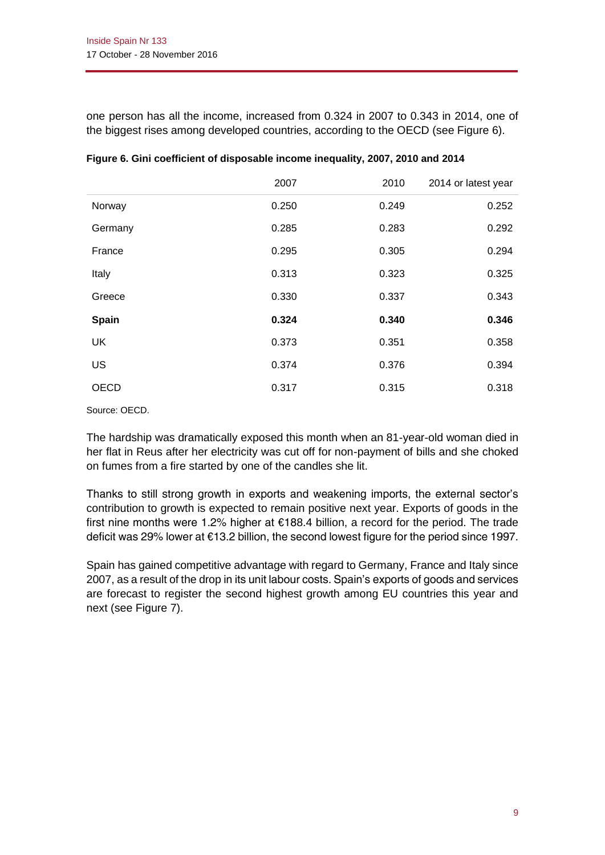one person has all the income, increased from 0.324 in 2007 to 0.343 in 2014, one of the biggest rises among developed countries, according to the OECD (see Figure 6).

|             | 2007  | 2010  | 2014 or latest year |
|-------------|-------|-------|---------------------|
| Norway      | 0.250 | 0.249 | 0.252               |
| Germany     | 0.285 | 0.283 | 0.292               |
| France      | 0.295 | 0.305 | 0.294               |
| Italy       | 0.313 | 0.323 | 0.325               |
| Greece      | 0.330 | 0.337 | 0.343               |
| Spain       | 0.324 | 0.340 | 0.346               |
| <b>UK</b>   | 0.373 | 0.351 | 0.358               |
| <b>US</b>   | 0.374 | 0.376 | 0.394               |
| <b>OECD</b> | 0.317 | 0.315 | 0.318               |

|  | Figure 6. Gini coefficient of disposable income inequality, 2007, 2010 and 2014 |  |
|--|---------------------------------------------------------------------------------|--|
|  |                                                                                 |  |
|  |                                                                                 |  |

Source: OECD.

The hardship was dramatically exposed this month when an 81-year-old woman died in her flat in Reus after her electricity was cut off for non-payment of bills and she choked on fumes from a fire started by one of the candles she lit.

Thanks to still strong growth in exports and weakening imports, the external sector's contribution to growth is expected to remain positive next year. Exports of goods in the first nine months were 1.2% higher at €188.4 billion, a record for the period. The trade deficit was 29% lower at €13.2 billion, the second lowest figure for the period since 1997.

Spain has gained competitive advantage with regard to Germany, France and Italy since 2007, as a result of the drop in its unit labour costs. Spain's exports of goods and services are forecast to register the second highest growth among EU countries this year and next (see Figure 7).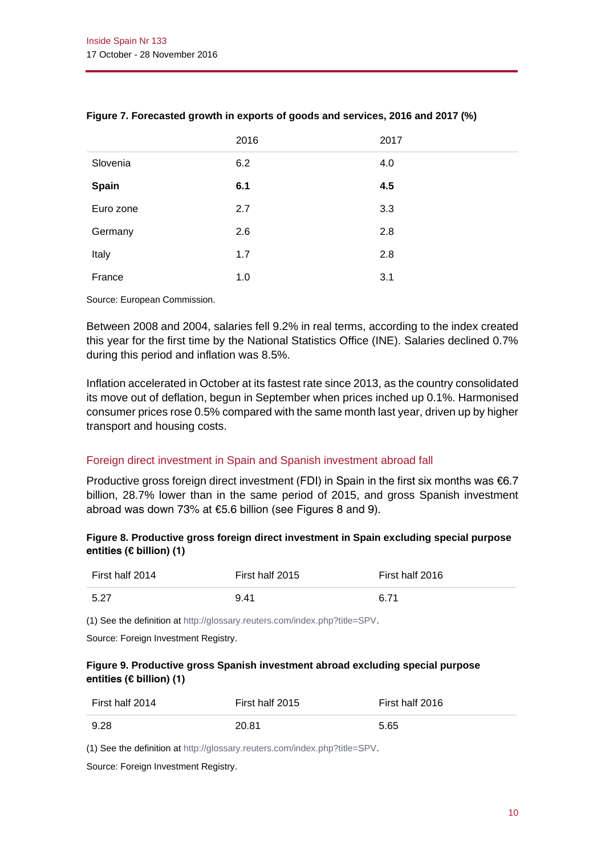|              | 2016 | 2017 |
|--------------|------|------|
| Slovenia     | 6.2  | 4.0  |
| <b>Spain</b> | 6.1  | 4.5  |
| Euro zone    | 2.7  | 3.3  |
| Germany      | 2.6  | 2.8  |
| Italy        | 1.7  | 2.8  |
| France       | 1.0  | 3.1  |

## **Figure 7. Forecasted growth in exports of goods and services, 2016 and 2017 (%)**

Source: European Commission.

Between 2008 and 2004, salaries fell 9.2% in real terms, according to the index created this year for the first time by the National Statistics Office (INE). Salaries declined 0.7% during this period and inflation was 8.5%.

Inflation accelerated in October at its fastest rate since 2013, as the country consolidated its move out of deflation, begun in September when prices inched up 0.1%. Harmonised consumer prices rose 0.5% compared with the same month last year, driven up by higher transport and housing costs.

## Foreign direct investment in Spain and Spanish investment abroad fall

Productive gross foreign direct investment (FDI) in Spain in the first six months was  $\epsilon$ 6.7 billion, 28.7% lower than in the same period of 2015, and gross Spanish investment abroad was down 73% at €5.6 billion (see Figures 8 and 9).

## **Figure 8. Productive gross foreign direct investment in Spain excluding special purpose entities (€ billion) (1)**

| First half 2014 | First half 2015 | First half 2016 |
|-----------------|-----------------|-----------------|
| 5.27            | 9.41            | 6.71            |

(1) See the definition a[t http://glossary.reuters.com/index.php?title=SPV.](http://glossary.reuters.com/index.php?title=SPV)

Source: Foreign Investment Registry.

#### **Figure 9. Productive gross Spanish investment abroad excluding special purpose entities (€ billion) (1)**

| First half 2014 | First half 2015 | First half 2016 |
|-----------------|-----------------|-----------------|
| 9.28            | 20.81           | 5.65            |

(1) See the definition a[t http://glossary.reuters.com/index.php?title=SPV.](http://glossary.reuters.com/index.php?title=SPV)

Source: Foreign Investment Registry.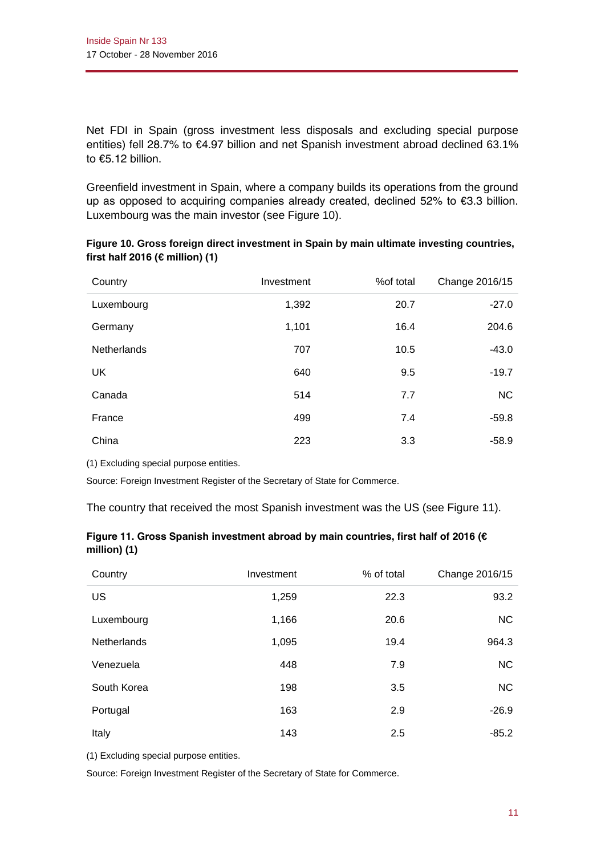Net FDI in Spain (gross investment less disposals and excluding special purpose entities) fell 28.7% to €4.97 billion and net Spanish investment abroad declined 63.1% to €5.12 billion.

Greenfield investment in Spain, where a company builds its operations from the ground up as opposed to acquiring companies already created, declined 52% to €3.3 billion. Luxembourg was the main investor (see Figure 10).

| Country            | Investment | %of total | Change 2016/15 |
|--------------------|------------|-----------|----------------|
| Luxembourg         | 1,392      | 20.7      | $-27.0$        |
| Germany            | 1,101      | 16.4      | 204.6          |
| <b>Netherlands</b> | 707        | 10.5      | $-43.0$        |
| UK                 | 640        | 9.5       | $-19.7$        |
| Canada             | 514        | 7.7       | <b>NC</b>      |
| France             | 499        | 7.4       | $-59.8$        |
| China              | 223        | 3.3       | $-58.9$        |

**Figure 10. Gross foreign direct investment in Spain by main ultimate investing countries, first half 2016 (€ million) (1)**

(1) Excluding special purpose entities.

Source: Foreign Investment Register of the Secretary of State for Commerce.

The country that received the most Spanish investment was the US (see Figure 11).

|              |  | Figure 11. Gross Spanish investment abroad by main countries, first half of 2016 ( $\epsilon$ |
|--------------|--|-----------------------------------------------------------------------------------------------|
| million) (1) |  |                                                                                               |

| Country            | Investment | % of total | Change 2016/15 |
|--------------------|------------|------------|----------------|
| US                 | 1,259      | 22.3       | 93.2           |
| Luxembourg         | 1,166      | 20.6       | <b>NC</b>      |
| <b>Netherlands</b> | 1,095      | 19.4       | 964.3          |
| Venezuela          | 448        | 7.9        | <b>NC</b>      |
| South Korea        | 198        | 3.5        | <b>NC</b>      |
| Portugal           | 163        | 2.9        | $-26.9$        |
| Italy              | 143        | 2.5        | $-85.2$        |

(1) Excluding special purpose entities.

Source: Foreign Investment Register of the Secretary of State for Commerce.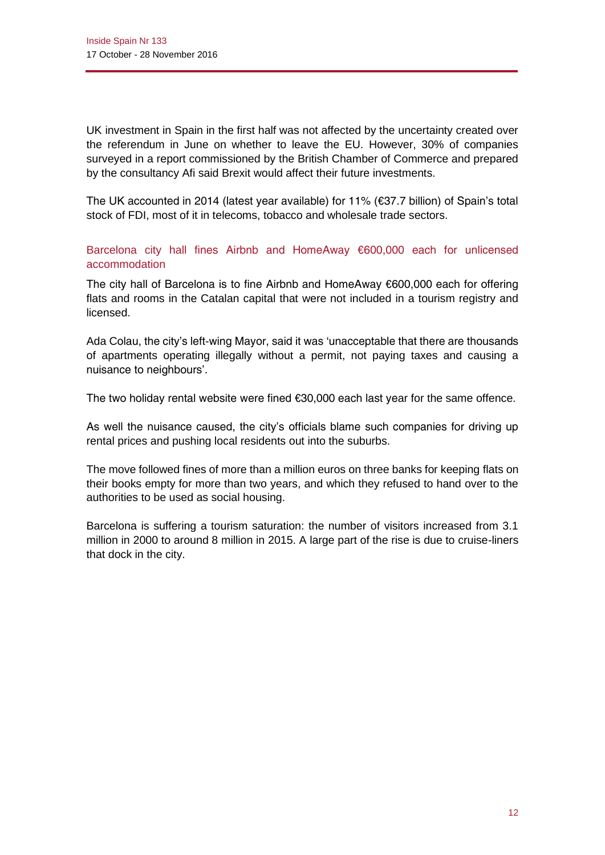UK investment in Spain in the first half was not affected by the uncertainty created over the referendum in June on whether to leave the EU. However, 30% of companies surveyed in a report commissioned by the British Chamber of Commerce and prepared by the consultancy Afi said Brexit would affect their future investments.

The UK accounted in 2014 (latest year available) for 11% (€37.7 billion) of Spain's total stock of FDI, most of it in telecoms, tobacco and wholesale trade sectors.

Barcelona city hall fines Airbnb and HomeAway €600,000 each for unlicensed accommodation

The city hall of Barcelona is to fine Airbnb and HomeAway €600,000 each for offering flats and rooms in the Catalan capital that were not included in a tourism registry and licensed.

Ada Colau, the city's left-wing Mayor, said it was 'unacceptable that there are thousands of apartments operating illegally without a permit, not paying taxes and causing a nuisance to neighbours'.

The two holiday rental website were fined €30,000 each last year for the same offence.

As well the nuisance caused, the city's officials blame such companies for driving up rental prices and pushing local residents out into the suburbs.

The move followed fines of more than a million euros on three banks for keeping flats on their books empty for more than two years, and which they refused to hand over to the authorities to be used as social housing.

Barcelona is suffering a tourism saturation: the number of visitors increased from 3.1 million in 2000 to around 8 million in 2015. A large part of the rise is due to cruise-liners that dock in the city.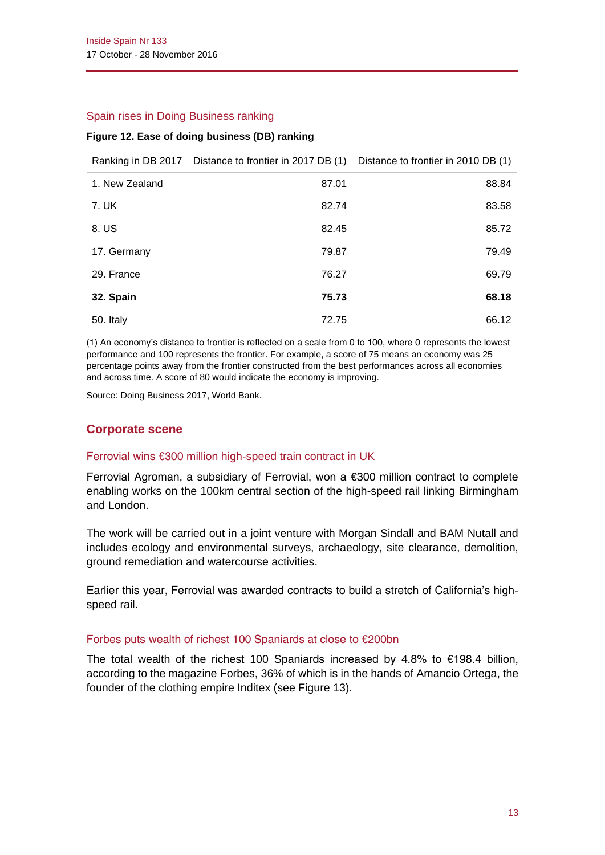#### Spain rises in Doing Business ranking

#### **Figure 12. Ease of doing business (DB) ranking**

|                | Ranking in DB 2017 Distance to frontier in 2017 DB (1) Distance to frontier in 2010 DB (1) |       |
|----------------|--------------------------------------------------------------------------------------------|-------|
| 1. New Zealand | 87.01                                                                                      | 88.84 |
| 7. UK          | 82.74                                                                                      | 83.58 |
| 8. US          | 82.45                                                                                      | 85.72 |
| 17. Germany    | 79.87                                                                                      | 79.49 |
| 29. France     | 76.27                                                                                      | 69.79 |
| 32. Spain      | 75.73                                                                                      | 68.18 |
| 50. Italy      | 72.75                                                                                      | 66.12 |

(1) An economy's distance to frontier is reflected on a scale from 0 to 100, where 0 represents the lowest performance and 100 represents the frontier. For example, a score of 75 means an economy was 25 percentage points away from the frontier constructed from the best performances across all economies and across time. A score of 80 would indicate the economy is improving.

Source: Doing Business 2017, World Bank.

# **Corporate scene**

#### Ferrovial wins €300 million high-speed train contract in UK

Ferrovial Agroman, a subsidiary of Ferrovial, won a €300 million contract to complete enabling works on the 100km central section of the high-speed rail linking Birmingham and London.

The work will be carried out in a joint venture with Morgan Sindall and BAM Nutall and includes ecology and environmental surveys, archaeology, site clearance, demolition, ground remediation and watercourse activities.

Earlier this year, Ferrovial was awarded contracts to build a stretch of California's highspeed rail.

#### Forbes puts wealth of richest 100 Spaniards at close to €200bn

The total wealth of the richest 100 Spaniards increased by 4.8% to  $€198.4$  billion, according to the magazine *Forbes*, 36% of which is in the hands of Amancio Ortega, the founder of the clothing empire Inditex (see Figure 13).